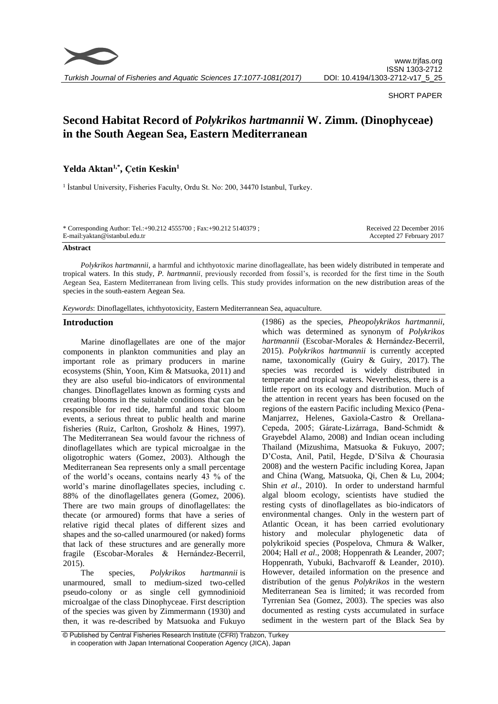

### SHORT PAPER

# **Second Habitat Record of** *Polykrikos hartmannii* **W. Zimm. (Dinophyceae) in the South Aegean Sea, Eastern Mediterranean**

## **Yelda Aktan1,\* , Çetin Keskin<sup>1</sup>**

<sup>1</sup> İstanbul University, Fisheries Faculty, Ordu St. No: 200, 34470 Istanbul, Turkey.

| * Corresponding Author: Tel.: +90.212 4555700 ; Fax: +90.212 5140379 ; | Received 22 December 2016 |
|------------------------------------------------------------------------|---------------------------|
| E-mail: yaktan@istanbul.edu.tr                                         | Accepted 27 February 2017 |

#### **Abstract**

*Polykrikos hartmannii,* a harmful and ichthyotoxic marine dinoflageallate, has been widely distributed in temperate and tropical waters. In this study, *P. hartmannii*, previously recorded from fossil's, is recorded for the first time in the South Aegean Sea, Eastern Mediterranean from living cells. This study provides information on the new distribution areas of the species in the south-eastern Aegean Sea.

*Keywords*: Dinoflagellates, ichthyotoxicity, Eastern Mediterrannean Sea, aquaculture.

## **Introduction**

Marine dinoflagellates are one of the major components in plankton communities and play an important role as primary producers in marine ecosystems (Shin, Yoon, Kim & Matsuoka, 2011) and they are also useful bio-indicators of environmental changes. Dinoflagellates known as forming cysts and creating blooms in the suitable conditions that can be responsible for red tide, harmful and toxic bloom events, a serious threat to public health and marine fisheries (Ruiz, Carlton, Grosholz & Hines, 1997). The Mediterranean Sea would favour the richness of dinoflagellates which are typical microalgae in the oligotrophic waters (Gomez, 2003). Although the Mediterranean Sea represents only a small percentage of the world's oceans, contains nearly 43 % of the world's marine dinoflagellates species, including c. 88% of the dinoflagellates genera (Gomez, 2006). There are two main groups of dinoflagellates: the thecate (or armoured) forms that have a series of relative rigid thecal plates of different sizes and shapes and the so-called unarmoured (or naked) forms that lack of these structures and are generally more fragile (Escobar-Morales & Hernández-Becerril, 2015).

The species, *Polykrikos hartmannii* is unarmoured, small to medium-sized two-celled pseudo-colony or as single cell gymnodinioid microalgae of the class Dinophyceae. First description of the species was given by Zimmermann (1930) and then, it was re-described by Matsuoka and Fukuyo

(1986) as the species, *Pheopolykrikos hartmannii*, which was determined as synonym of *Polykrikos hartmannii* (Escobar-Morales & Hernández-Becerril, 2015). *Polykrikos hartmannii* is currently accepted name, taxonomically (Guiry & Guiry, 2017). The species was recorded is widely distributed in temperate and tropical waters. Nevertheless, there is a little report on its ecology and distribution. Much of the attention in recent years has been focused on the regions of the eastern Pacific including Mexico (Pena-Manjarrez, Helenes, Gaxiola-Castro & Orellana-Cepeda, 2005; Gárate-Lizárraga, Band-Schmidt & Grayebdel Alamo, 2008) and Indian ocean including Thailand (Mizushima, Matsuoka & Fukuyo, 2007; D'Costa, Anil, Patil, Hegde, D'Silva & Chourasia 2008) and the western Pacific including Korea, Japan and China (Wang, Matsuoka, Qi, Chen & Lu, 2004; Shin *et al*., 2010). In order to understand harmful algal bloom ecology, scientists have studied the resting cysts of dinoflagellates as bio-indicators of environmental changes. Only in the western part of Atlantic Ocean, it has been carried evolutionary history and molecular phylogenetic data of polykrikoid species (Pospelova, Chmura & Walker, 2004; Hall *et al*., 2008; Hoppenrath & Leander, 2007; Hoppenrath, Yubuki, Bachvaroff & Leander, 2010). However, detailed information on the presence and distribution of the genus *Polykrikos* in the western Mediterranean Sea is limited; it was recorded from Tyrrenian Sea (Gomez, 2003). The species was also documented as resting cysts accumulated in surface sediment in the western part of the Black Sea by

<sup>©</sup> Published by Central Fisheries Research Institute (CFRI) Trabzon, Turkey in cooperation with Japan International Cooperation Agency (JICA), Japan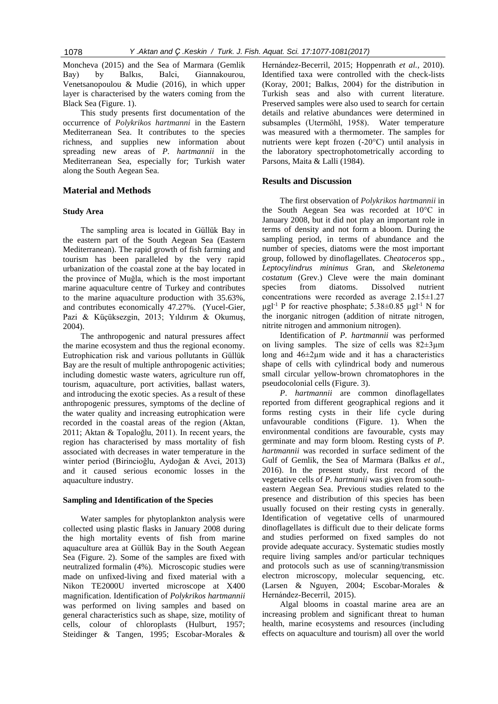Moncheva (2015) and the Sea of Marmara (Gemlik Bay) by Balkıs, Balci, Giannakourou, Venetsanopoulou & Mudie (2016), in which upper layer is characterised by the waters coming from the Black Sea (Figure. 1).

This study presents first documentation of the occurrence of *Polykrikos hartmanni* in the Eastern Mediterranean Sea. It contributes to the species richness, and supplies new information about spreading new areas of *P. hartmannii* in the Mediterranean Sea, especially for; Turkish water along the South Aegean Sea.

## **Material and Methods**

## **Study Area**

The sampling area is located in Güllük Bay in the eastern part of the South Aegean Sea (Eastern Mediterranean). The rapid growth of fish farming and tourism has been paralleled by the very rapid urbanization of the coastal zone at the bay located in the province of Muğla, which is the most important marine aquaculture centre of Turkey and contributes to the marine aquaculture production with 35.63%, and contributes economically 47.27%. (Yucel-Gier*,*  Pazi & Küçüksezgin, 2013; Yıldırım & Okumuş, 2004).

The anthropogenic and natural pressures affect the marine ecosystem and thus the regional economy. Eutrophication risk and various pollutants in Güllük Bay are the result of multiple anthropogenic activities; including domestic waste waters, agriculture run off, tourism, aquaculture, port activities, ballast waters, and introducing the exotic species. As a result of these anthropogenic pressures, symptoms of the decline of the water quality and increasing eutrophication were recorded in the coastal areas of the region (Aktan, 2011; Aktan & Topaloğlu, 2011). In recent years, the region has characterised by mass mortality of fish associated with decreases in water temperature in the winter period (Birincioğlu, Aydoğan & Avci, 2013) and it caused serious economic losses in the aquaculture industry.

#### **Sampling and Identification of the Species**

Water samples for phytoplankton analysis were collected using plastic flasks in January 2008 during the high mortality events of fish from marine aquaculture area at Güllük Bay in the South Aegean Sea (Figure. 2). Some of the samples are fixed with neutralized formalin (4%). Microscopic studies were made on unfixed-living and fixed material with a Nikon TE2000U inverted microscope at X400 magnification. Identification of *Polykrikos hartmannii* was performed on living samples and based on general characteristics such as shape, size, motility of cells, colour of chloroplasts (Hulburt, 1957; Steidinger & Tangen, 1995; Escobar-Morales & Hernández-Becerril, 2015; Hoppenrath *et al.,* 2010). Identified taxa were controlled with the check-lists (Koray, 2001; Balkıs, 2004) for the distribution in Turkish seas and also with current literature. Preserved samples were also used to search for certain details and relative abundances were determined in subsamples (Utermöhl, 1958). Water temperature was measured with a thermometer. The samples for nutrients were kept frozen (-20°C) until analysis in the laboratory spectrophotometrically according to Parsons, Maita & Lalli (1984).

## **Results and Discussion**

The first observation of *Polykrikos hartmannii* in the South Aegean Sea was recorded at 10°C in January 2008, but it did not play an important role in terms of density and not form a bloom. During the sampling period, in terms of abundance and the number of species, diatoms were the most important group, followed by dinoflagellates. *Cheatoceros* spp., *Leptocylindrus minimus* Gran, and *Skeletonema costatum* (Grev.) Cleve were the main dominant species from diatoms. Dissolved nutrient concentrations were recorded as average 2.15±1.27  $\mu$ gl<sup>-1</sup> P for reactive phosphate; 5.38±0.85  $\mu$ gl<sup>-1</sup> N for the inorganic nitrogen (addition of nitrate nitrogen, nitrite nitrogen and ammonium nitrogen).

Identification of *P. hartmannii* was performed on living samples. The size of cells was  $82 \pm 3\mu m$ long and 46±2µm wide and it has a characteristics shape of cells with cylindrical body and numerous small circular yellow-brown chromatophores in the pseudocolonial cells (Figure. 3).

*P*. *hartmannii* are common dinoflagellates reported from different geographical regions and it forms resting cysts in their life cycle during unfavourable conditions (Figure. 1). When the environmental conditions are favourable, cysts may germinate and may form bloom. Resting cysts of *P*. *hartmannii* was recorded in surface sediment of the Gulf of Gemlik, the Sea of Marmara (Balkıs *et al*., 2016). In the present study, first record of the vegetative cells of *P. hartmanii* was given from southeastern Aegean Sea. Previous studies related to the presence and distribution of this species has been usually focused on their resting cysts in generally. Identification of vegetative cells of unarmoured dinoflagellates is difficult due to their delicate forms and studies performed on fixed samples do not provide adequate accuracy. Systematic studies mostly require living samples and/or particular techniques and protocols such as use of scanning/transmission electron microscopy, molecular sequencing, etc. (Larsen & Nguyen, 2004; Escobar-Morales & Hernández-Becerril, 2015).

Algal blooms in coastal marine area are an increasing problem and significant threat to human health, marine ecosystems and resources (including effects on aquaculture and tourism) all over the world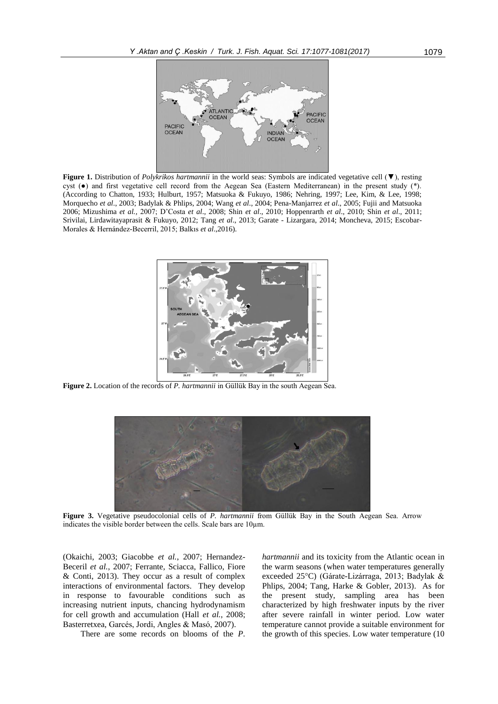

**Figure 1.** Distribution of *Polykrikos hartmannii* in the world seas: Symbols are indicated vegetative cell (▼), resting cyst (●) and first vegetative cell record from the Aegean Sea (Eastern Mediterranean) in the present study (\*). (According to Chatton, 1933; Hulburt, 1957; Matsuoka & Fukuyo, 1986; Nehring, 1997; Lee, Kim, & Lee, 1998; Morquecho *et al*., 2003; Badylak & Phlips, 2004; Wang *et al*., 2004; Pena-Manjarrez *et al*., 2005; Fujii and Matsuoka 2006; Mizushima *et al.,* 2007; D'Costa *et al*., 2008; Shin *et al*., 2010; Hoppenrarth *et al*., 2010; Shin *et al*., 2011; Srivilai, Lirdawitayaprasit & Fukuyo, 2012; Tang *et al*., 2013; Garate - Lizargara, 2014; Moncheva, 2015; Escobar-Morales & Hernández-Becerril, 2015; Balkıs *et al*.,2016).



**Figure 2.** Location of the records of *P. hartmannii* in Güllük Bay in the south Aegean Sea.



**Figure 3.** Vegetative pseudocolonial cells of *P. hartmannii* from Güllük Bay in the South Aegean Sea. Arrow indicates the visible border between the cells. Scale bars are 10µm.

(Okaichi, 2003; Giacobbe *et al.*, 2007; Hernandez-Beceril *et al.*, 2007; Ferrante, Sciacca, Fallico, Fiore & Conti, 2013). They occur as a result of complex interactions of environmental factors. They develop in response to favourable conditions such as increasing nutrient inputs, chancing hydrodynamism for cell growth and accumulation (Hall *et al.*, 2008; Basterretxea, Garcés, Jordi, Angles & Masó, 2007).

There are some records on blooms of the *P*.

*hartmannii* and its toxicity from the Atlantic ocean in the warm seasons (when water temperatures generally exceeded 25°C) (Gárate-Lizárraga, 2013; Badylak & Phlips, 2004; Tang, Harke & Gobler, 2013). As for the present study, sampling area has been characterized by high freshwater inputs by the river after severe rainfall in winter period. Low water temperature cannot provide a suitable environment for the growth of this species. Low water temperature (10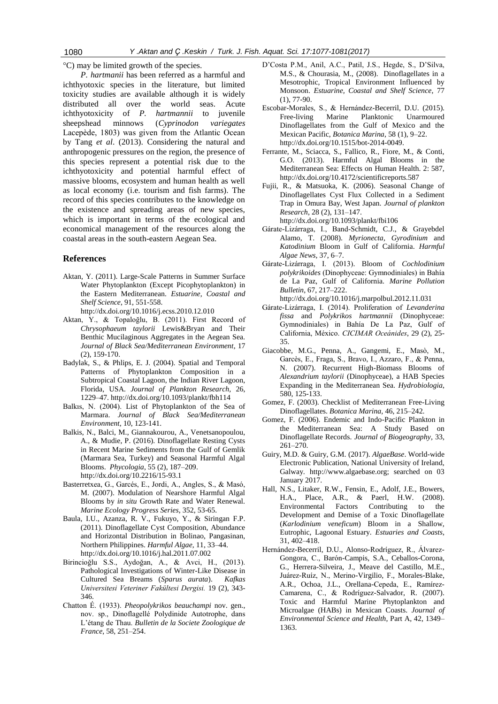°C) may be limited growth of the species.

*P. hartmanii* has been referred as a harmful and ichthyotoxic species in the literature, but limited toxicity studies are available although it is widely distributed all over the world seas. Acute ichthyotoxicity of *P. hartmannii* to juvenile sheepshead minnows (*Cyprinodon variegates* Lacepède, 1803) was given from the Atlantic Ocean by Tang *et al*. (2013). Considering the natural and anthropogenic pressures on the region, the presence of this species represent a potential risk due to the ichthyotoxicity and potential harmful effect of massive blooms, ecosystem and human health as well as local economy (i.e. tourism and fish farms). The record of this species contributes to the knowledge on the existence and spreading areas of new species, which is important in terms of the ecological and economical management of the resources along the coastal areas in the south-eastern Aegean Sea.

## **References**

- Aktan, Y. (2011). Large-Scale Patterns in Summer Surface Water Phytoplankton (Except Picophytoplankton) in the Eastern Mediterranean. *Estuarine, Coastal and Shelf Science*, 91, 551-558. http://dx.[doi.org/10.1016/j.ecss.2010.12.010](http://dx.doi.org/10.1016/j.ecss.2010.12.010)
- Aktan, Y., & Topaloğlu, B. (2011). First Record of *Chrysophaeum taylorii* Lewis&Bryan and Their Benthic Mucilaginous Aggregates in the Aegean Sea. *Journal of Black Sea/Mediterranean Environment*, 17 (2), 159-170.
- Badylak, S., & Phlips, E. J. (2004). Spatial and Temporal Patterns of Phytoplankton Composition in a Subtropical Coastal Lagoon, the Indian River Lagoon, Florida, USA. *Journal of Plankton Research,* 26, 1229–47. http://dx.doi.org/10.1093/plankt/fbh114
- Balkıs, N. (2004). [List of Phytoplankton of the Sea of](http://dergipark.ulakbim.gov.tr/jbme/article/view/5000144512)  [Marmara.](http://dergipark.ulakbim.gov.tr/jbme/article/view/5000144512) *Journal of Black Sea/Mediterranean Environment*, 10, 123-141.
- Balkis, N., Balci, M., Giannakourou, A., Venetsanopoulou, A., & Mudie, P. (2016). Dinoflagellate Resting Cysts in Recent Marine Sediments from the Gulf of Gemlik (Marmara Sea, Turkey) and Seasonal Harmful Algal Blooms. *Phycologia,* 55 (2), 187–209. http://dx.[doi.org/1](http://dx.doi.org/10.1016/j.ecss.2010.12.010)0.2216/15-93.1
- Basterretxea, G., Garcés, E., Jordi, A., Angles, S., & Masó, M. (2007). Modulation of Nearshore Harmful Algal Blooms by *in situ* Growth Rate and Water Renewal. *[Marine Ecology Progress Series](https://www.researchgate.net/journal/0171-8630_Marine_Ecology_Progress_Series)*, 352, 53-65.
- Baula, I.U., Azanza, R. V., Fukuyo, Y., & Siringan F.P. (2011). Dinoflagellate Cyst Composition, Abundance and Horizontal Distribution in Bolinao, Pangasinan, Northern Philippines. *Harmful Algae,* 11, 33–44. http://dx.[doi.org/1](http://dx.doi.org/10.1016/j.ecss.2010.12.010)0.1016/j.hal.2011.07.002
- Birincioğlu S.S., Aydoğan, A., & Avci, H., (2013). Pathological Investigations of Winter-Like Disease in Cultured Sea Breams (*Sparus aurata*). *Kafkas Universitesi Veteriner Fakültesi Dergisi.* 19 (2), 343- 346.
- Chatton É. (1933). *Pheopolykrikos beauchampi* nov. gen., nov. sp., Dinoflagellé Polydinide Autotrophe, dans L'étang de Thau. *Bulletin de la Societe Zoologique de France*, 58, 251–254.
- D'Costa P.M., Anil, A.C., Patil, J.S., Hegde, S., D'Silva, M.S., & Chourasia, M., (2008). Dinoflagellates in a Mesotrophic, Tropical Environment Influenced by Monsoon. *Estuarine, Coastal and Shelf Science*, 77 (1), 77-90.
- Escobar-Morales, S., & Hernández-Becerril, D.U. (2015). Free-living Marine Planktonic Unarmoured Dinoflagellates from the Gulf of Mexico and the Mexican Pacific, *Botanica Marina*, 58 (1), 9–22. http://dx.[doi.org/1](http://dx.doi.org/10.1016/j.ecss.2010.12.010)0.1515/bot-2014-0049.
- Ferrante, M., Sciacca, S., Fallico, R., Fiore, M., & Conti, G.O. (2013). Harmful Algal Blooms in the Mediterranean Sea: Effects on Human Health. 2: 587, http://dx.[doi.org/1](http://dx.doi.org/10.1016/j.ecss.2010.12.010)0.4172/scientificreports.587
- Fujii, R., & Matsuoka, K. (2006). Seasonal Change of Dinoflagellates Cyst Flux Collected in a Sediment Trap in Omura Bay, West Japan. *Journal of plankton Research*, 28 (2), 131–147.

http://dx.[doi.org/1](http://dx.doi.org/10.1016/j.ecss.2010.12.010)0.1093/plankt/fbi106

- Gárate-Lizárraga, I., Band-Schmidt, C.J., & Grayebdel Alamo, T. (2008). *Myrionecta, Gyrodinium* and *Katodinium* Bloom in Gulf of California. *Harmful Algae News,* 37, 6–7.
- Gárate-Lizárraga, I. (2013). Bloom of *Cochlodinium polykrikoides* (Dinophyceae: Gymnodiniales) in Bahía de La Paz, Gulf of California. *Marine Pollution Bulletin*, 67, 217–222.

http://dx.[doi.org/1](http://dx.doi.org/10.1016/j.ecss.2010.12.010)0.1016/j.marpolbul.2012.11.031

- Gárate-Lizárraga, I. (2014). Proliferation of *Levanderina fissa* and *Polykrikos hartmannii* (Dinophyceae: Gymnodiniales) in Bahía De La Paz, Gulf of California, México. *CICIMAR Oceánides*, 29 (2), 25- 35.
- Giacobbe, M.G., Penna, A., Gangemi, E., Masò, M., Garcès, E., Fraga, S., Bravo, I., Azzaro, F., & Penna, N. (2007). Recurrent High-Biomass Blooms of *Alexandrium taylorii* (Dinophyceae), a HAB Species Expanding in the Mediterranean Sea. *Hydrobiologia*, 580, 125-133.
- Gomez, F. (2003). Checklist of Mediterranean Free-Living Dinoflagellates. *Botanica Marina,* 46, 215–242.
- Gomez, F. (2006). Endemic and Indo-Pacific Plankton in the Mediterranean Sea: A Study Based on Dinoflagellate Records. *Journal of Biogeography,* 33, 261–270.
- Guiry, M.D. & Guiry, G.M. (2017). *AlgaeBase*. World-wide Electronic Publication, National University of Ireland, Galway. http://www.algaebase.org; searched on 03 January 2017.
- Hall, N.S., Litaker, R.W., Fensin, E., Adolf, J.E., Bowers, H.A., Place, A.R., & Paerl, H.W. (2008). Environmental Factors Contributing to the Development and Demise of a Toxic Dinoflagellate (*Karlodinium veneficum*) Bloom in a Shallow, Eutrophic, Lagoonal Estuary. *Estuaries and Coasts*, 31, 402–418.
- Hernández-Becerril, D.U., Alonso-Rodríguez, R., Álvarez-Gongora, C., Barón-Campis, S.A., Ceballos-Corona, G., Herrera-Silveira, J., Meave del Castillo, M.E., Juárez-Ruíz, N., Merino-Virgilio, F., Morales-Blake, A.R., Ochoa, J.L., Orellana-Cepeda, E., Ramírez-Camarena, C., & Rodríguez-Salvador, R. (2007). Toxic and Harmful Marine Phytoplankton and Microalgae (HABs) in Mexican Coasts. *Journal of Environmental Science and Health*, Part A, 42, 1349– 1363.